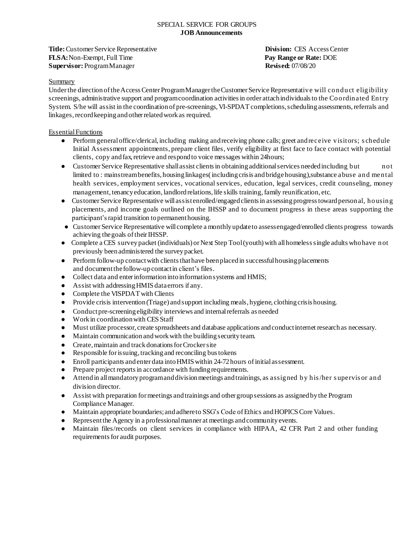**Title:** Customer Service Representative **Division:** CES Access Center **FLSA:**Non-Exempt, Full Time **Pay Range or Rate:** DOE **Supervisor:** ProgramManager **Revised:** 07/08/20

# Summary

Under the direction of the Access Center Program Manager the Customer Service Representative will conduct eligibility screenings, administrative support and programcoordination activities in order attachindividuals to the Coordinated Entry System. S/he will assist in the coordination of pre-screenings, VI-SPDAT completions, scheduling assessments, referrals and linkages, record keeping and other related work as required.

# EssentialFunctions

- Perform general office/clerical, including making and receiving phone calls; greet and receive visitors; s chedule Initial Assessment appointments, prepare client files, verify eligibility at first face to face contact with potential clients, copy and fax, retrieve and respond to voice messages within 24 hours;
- Customer Service Representative shallassist clientsin obtaining additionalservices neededincluding but not limited to: mainstreambenefits, housing linkages(including crisis and bridgehousing), substance abuse and mental health services, employment services, vocational services, education, legal services, credit counseling, money management, tenancy education, landlord relations, life skills training, family reunification, etc.
- Customer Service Representative will assist enrolled/engaged clients in assessing progress toward personal, housing placements, and income goals outlined on the IHSSP and to document progress in these areas supporting the participant's rapid transition to permanent housing.
- Customer Service Representative willcomplete a monthly updateto assessengaged/enrolled clients progress towards achieving thegoals of theirIHSSP.
- Complete a CES survey packet (individuals) or Next Step Tool(youth) with all homeless single adults who have not previously beenadministered the surveypacket.
- Perform follow-up contact with clients that have been placed in successful housing placements and documentthefollow-upcontactin client's files.
- Collect data and enter information into information systems and HMIS;
- Assist with addressingHMIS dataerrors if any.
- Complete the VISPDAT with Clients
- Provide crisis intervention (Triage) and support including meals, hygiene, clothing crisis housing.
- Conduct pre-screening eligibility interviews and internal referrals as needed
- Workin coordinationwith CES Staff
- Must utilize processor, create spreadsheets and database applications andconductinternet researchas necessary.
- Maintain communicationandwork with the building securityteam.
- Create, maintain and track donations for Crocker site
- Responsible for issuing, trackingand reconciling bus tokens
- Enroll participants andenter data intoHMIS within 24-72hours of initial assessment.
- Prepare project reports in accordance with funding requirements.
- Attendin allmandatoryprogramanddivisionmeetings andtrainings, as assigned by his /her s upervis or and division director.
- Assist with preparation for meetings andtrainings and other group sessions as assignedby the Program Compliance Manager.
- Maintain appropriate boundaries; and adhere to SSG's Code of Ethics and HOPICS Core Values.
- Representthe Agency in a professionalmanner at meetings andcommunity events.
- Maintain files/records on client services in compliance with HIPAA, 42 CFR Part 2 and other funding requirements for audit purposes.